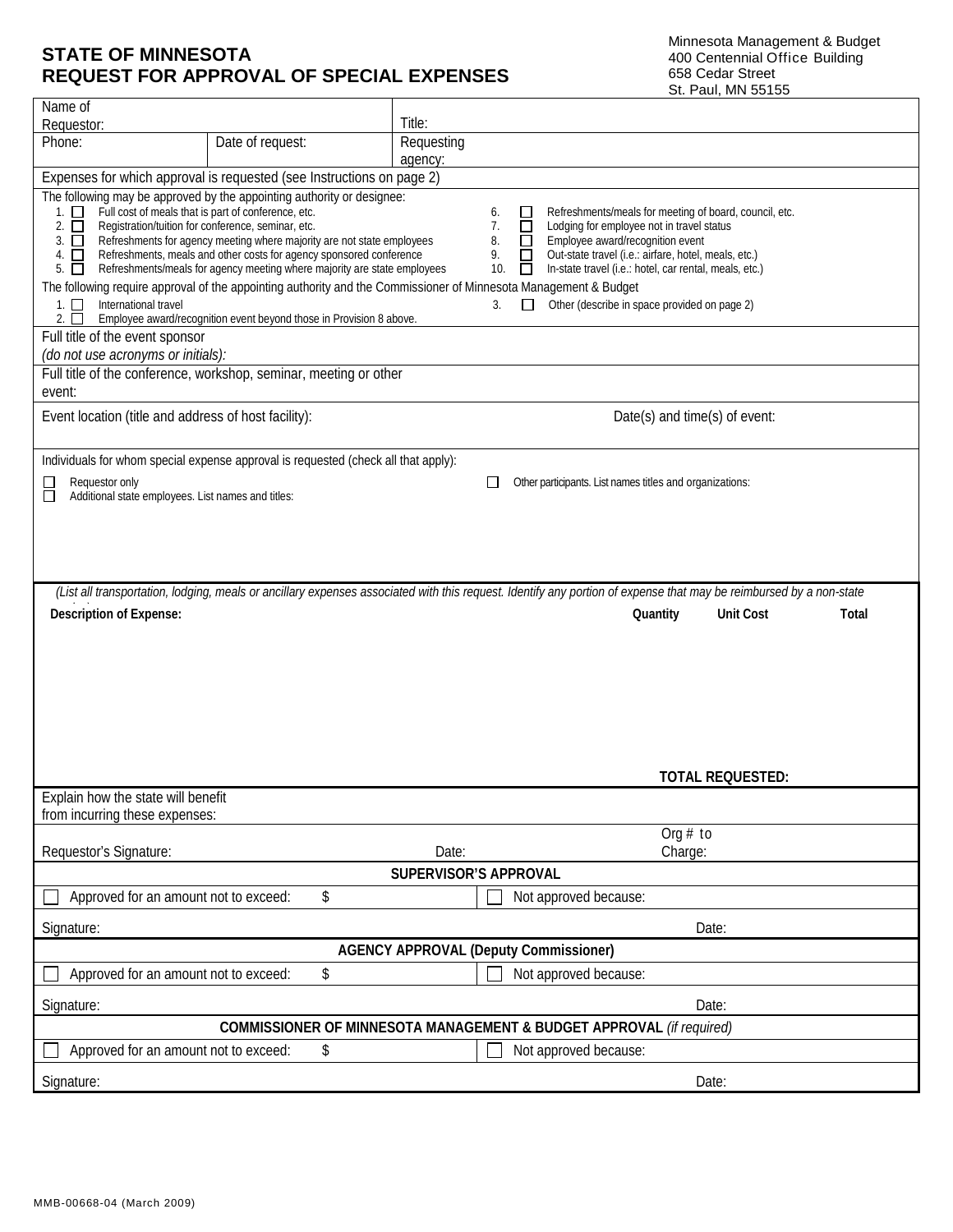## **STATE OF MINNESOTA REQUEST FOR APPROVAL OF SPECIAL EXPENSES**

Minnesota Management & Budget 400 Centennial Office Building 658 Cedar Street St. Paul, MN 55155

| Name of                                                                                                                                                                                                                                                                                                                                                                                                                                                                                                                                                                                                                                                                                                                                                                                                                                                                                                                                                                                                                                                                                                                             |                  |                                       |  |
|-------------------------------------------------------------------------------------------------------------------------------------------------------------------------------------------------------------------------------------------------------------------------------------------------------------------------------------------------------------------------------------------------------------------------------------------------------------------------------------------------------------------------------------------------------------------------------------------------------------------------------------------------------------------------------------------------------------------------------------------------------------------------------------------------------------------------------------------------------------------------------------------------------------------------------------------------------------------------------------------------------------------------------------------------------------------------------------------------------------------------------------|------------------|---------------------------------------|--|
| Requestor:<br>Phone:                                                                                                                                                                                                                                                                                                                                                                                                                                                                                                                                                                                                                                                                                                                                                                                                                                                                                                                                                                                                                                                                                                                |                  | Title:                                |  |
|                                                                                                                                                                                                                                                                                                                                                                                                                                                                                                                                                                                                                                                                                                                                                                                                                                                                                                                                                                                                                                                                                                                                     | Date of request: | Requesting<br>agency:                 |  |
| Expenses for which approval is requested (see Instructions on page 2)                                                                                                                                                                                                                                                                                                                                                                                                                                                                                                                                                                                                                                                                                                                                                                                                                                                                                                                                                                                                                                                               |                  |                                       |  |
| The following may be approved by the appointing authority or designee:<br>Full cost of meals that is part of conference, etc.<br>Refreshments/meals for meeting of board, council, etc.<br>$1. \Box$<br>∟<br>6.<br>Registration/tuition for conference, seminar, etc.<br>$\Box$<br>Lodging for employee not in travel status<br>2.<br>7.<br>$\Box$<br>Refreshments for agency meeting where majority are not state employees<br>Employee award/recognition event<br>$\Box$<br>8.<br>□<br>3.<br>$\Box$<br>$\Box$<br>Refreshments, meals and other costs for agency sponsored conference<br>Out-state travel (i.e.: airfare, hotel, meals, etc.)<br>9.<br>4.<br>Refreshments/meals for agency meeting where majority are state employees<br>In-state travel (i.e.: hotel, car rental, meals, etc.)<br>10.<br>$5.$ $\Box$<br>$\Box$<br>The following require approval of the appointing authority and the Commissioner of Minnesota Management & Budget<br>International travel<br>Other (describe in space provided on page 2)<br>$1. \Box$<br>3.<br>Employee award/recognition event beyond those in Provision 8 above.<br>$2. \Box$ |                  |                                       |  |
| Full title of the event sponsor                                                                                                                                                                                                                                                                                                                                                                                                                                                                                                                                                                                                                                                                                                                                                                                                                                                                                                                                                                                                                                                                                                     |                  |                                       |  |
| (do not use acronyms or initials):<br>Full title of the conference, workshop, seminar, meeting or other                                                                                                                                                                                                                                                                                                                                                                                                                                                                                                                                                                                                                                                                                                                                                                                                                                                                                                                                                                                                                             |                  |                                       |  |
| event:                                                                                                                                                                                                                                                                                                                                                                                                                                                                                                                                                                                                                                                                                                                                                                                                                                                                                                                                                                                                                                                                                                                              |                  |                                       |  |
| Event location (title and address of host facility):                                                                                                                                                                                                                                                                                                                                                                                                                                                                                                                                                                                                                                                                                                                                                                                                                                                                                                                                                                                                                                                                                |                  | Date(s) and time(s) of event:         |  |
| Individuals for whom special expense approval is requested (check all that apply):                                                                                                                                                                                                                                                                                                                                                                                                                                                                                                                                                                                                                                                                                                                                                                                                                                                                                                                                                                                                                                                  |                  |                                       |  |
| Requestor only<br>Other participants. List names titles and organizations:                                                                                                                                                                                                                                                                                                                                                                                                                                                                                                                                                                                                                                                                                                                                                                                                                                                                                                                                                                                                                                                          |                  |                                       |  |
| Additional state employees. List names and titles:                                                                                                                                                                                                                                                                                                                                                                                                                                                                                                                                                                                                                                                                                                                                                                                                                                                                                                                                                                                                                                                                                  |                  |                                       |  |
|                                                                                                                                                                                                                                                                                                                                                                                                                                                                                                                                                                                                                                                                                                                                                                                                                                                                                                                                                                                                                                                                                                                                     |                  |                                       |  |
|                                                                                                                                                                                                                                                                                                                                                                                                                                                                                                                                                                                                                                                                                                                                                                                                                                                                                                                                                                                                                                                                                                                                     |                  |                                       |  |
|                                                                                                                                                                                                                                                                                                                                                                                                                                                                                                                                                                                                                                                                                                                                                                                                                                                                                                                                                                                                                                                                                                                                     |                  |                                       |  |
| (List all transportation, lodging, meals or ancillary expenses associated with this request. Identify any portion of expense that may be reimbursed by a non-state                                                                                                                                                                                                                                                                                                                                                                                                                                                                                                                                                                                                                                                                                                                                                                                                                                                                                                                                                                  |                  |                                       |  |
| <b>Description of Expense:</b>                                                                                                                                                                                                                                                                                                                                                                                                                                                                                                                                                                                                                                                                                                                                                                                                                                                                                                                                                                                                                                                                                                      |                  | <b>Unit Cost</b><br>Quantity<br>Total |  |
|                                                                                                                                                                                                                                                                                                                                                                                                                                                                                                                                                                                                                                                                                                                                                                                                                                                                                                                                                                                                                                                                                                                                     |                  |                                       |  |
|                                                                                                                                                                                                                                                                                                                                                                                                                                                                                                                                                                                                                                                                                                                                                                                                                                                                                                                                                                                                                                                                                                                                     |                  |                                       |  |
|                                                                                                                                                                                                                                                                                                                                                                                                                                                                                                                                                                                                                                                                                                                                                                                                                                                                                                                                                                                                                                                                                                                                     |                  |                                       |  |
|                                                                                                                                                                                                                                                                                                                                                                                                                                                                                                                                                                                                                                                                                                                                                                                                                                                                                                                                                                                                                                                                                                                                     |                  |                                       |  |
|                                                                                                                                                                                                                                                                                                                                                                                                                                                                                                                                                                                                                                                                                                                                                                                                                                                                                                                                                                                                                                                                                                                                     |                  |                                       |  |
|                                                                                                                                                                                                                                                                                                                                                                                                                                                                                                                                                                                                                                                                                                                                                                                                                                                                                                                                                                                                                                                                                                                                     |                  |                                       |  |
|                                                                                                                                                                                                                                                                                                                                                                                                                                                                                                                                                                                                                                                                                                                                                                                                                                                                                                                                                                                                                                                                                                                                     |                  | <b>TOTAL REQUESTED:</b>               |  |
| Explain how the state will benefit<br>from incurring these expenses:                                                                                                                                                                                                                                                                                                                                                                                                                                                                                                                                                                                                                                                                                                                                                                                                                                                                                                                                                                                                                                                                |                  |                                       |  |
|                                                                                                                                                                                                                                                                                                                                                                                                                                                                                                                                                                                                                                                                                                                                                                                                                                                                                                                                                                                                                                                                                                                                     |                  | Org $#$ to                            |  |
| Requestor's Signature:                                                                                                                                                                                                                                                                                                                                                                                                                                                                                                                                                                                                                                                                                                                                                                                                                                                                                                                                                                                                                                                                                                              |                  | Date:<br>Charge:                      |  |
| <b>SUPERVISOR'S APPROVAL</b>                                                                                                                                                                                                                                                                                                                                                                                                                                                                                                                                                                                                                                                                                                                                                                                                                                                                                                                                                                                                                                                                                                        |                  |                                       |  |
| Approved for an amount not to exceed:                                                                                                                                                                                                                                                                                                                                                                                                                                                                                                                                                                                                                                                                                                                                                                                                                                                                                                                                                                                                                                                                                               | \$               | Not approved because:                 |  |
| Date:<br>Signature:                                                                                                                                                                                                                                                                                                                                                                                                                                                                                                                                                                                                                                                                                                                                                                                                                                                                                                                                                                                                                                                                                                                 |                  |                                       |  |
| <b>AGENCY APPROVAL (Deputy Commissioner)</b>                                                                                                                                                                                                                                                                                                                                                                                                                                                                                                                                                                                                                                                                                                                                                                                                                                                                                                                                                                                                                                                                                        |                  |                                       |  |
| Approved for an amount not to exceed:                                                                                                                                                                                                                                                                                                                                                                                                                                                                                                                                                                                                                                                                                                                                                                                                                                                                                                                                                                                                                                                                                               | \$               | Not approved because:                 |  |
| Date:<br>Signature:                                                                                                                                                                                                                                                                                                                                                                                                                                                                                                                                                                                                                                                                                                                                                                                                                                                                                                                                                                                                                                                                                                                 |                  |                                       |  |
| COMMISSIONER OF MINNESOTA MANAGEMENT & BUDGET APPROVAL (if required)                                                                                                                                                                                                                                                                                                                                                                                                                                                                                                                                                                                                                                                                                                                                                                                                                                                                                                                                                                                                                                                                |                  |                                       |  |
| Not approved because:<br>Approved for an amount not to exceed:<br>\$                                                                                                                                                                                                                                                                                                                                                                                                                                                                                                                                                                                                                                                                                                                                                                                                                                                                                                                                                                                                                                                                |                  |                                       |  |
| Signature:                                                                                                                                                                                                                                                                                                                                                                                                                                                                                                                                                                                                                                                                                                                                                                                                                                                                                                                                                                                                                                                                                                                          |                  | Date:                                 |  |